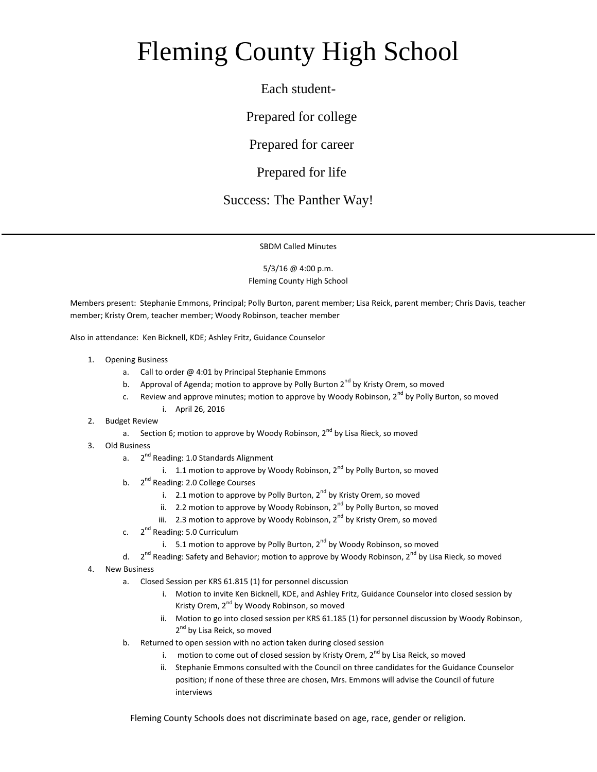## Fleming County High School

Each student-

Prepared for college

Prepared for career

Prepared for life

## Success: The Panther Way!

SBDM Called Minutes

5/3/16 @ 4:00 p.m. Fleming County High School

Members present: Stephanie Emmons, Principal; Polly Burton, parent member; Lisa Reick, parent member; Chris Davis, teacher member; Kristy Orem, teacher member; Woody Robinson, teacher member

Also in attendance: Ken Bicknell, KDE; Ashley Fritz, Guidance Counselor

- 1. Opening Business
	- a. Call to order @ 4:01 by Principal Stephanie Emmons
	- b. Approval of Agenda; motion to approve by Polly Burton  $2^{nd}$  by Kristy Orem, so moved
	- c. Review and approve minutes; motion to approve by Woody Robinson,  $2^{nd}$  by Polly Burton, so moved i. April 26, 2016
- 2. Budget Review
	- a. Section 6; motion to approve by Woody Robinson,  $2^{nd}$  by Lisa Rieck, so moved
- 3. Old Business
	- a. 2<sup>nd</sup> Reading: 1.0 Standards Alignment
		- i. 1.1 motion to approve by Woody Robinson,  $2^{nd}$  by Polly Burton, so moved
	- b. 2<sup>nd</sup> Reading: 2.0 College Courses
		- i. 2.1 motion to approve by Polly Burton,  $2^{nd}$  by Kristy Orem, so moved
		- ii. 2.2 motion to approve by Woody Robinson,  $2^{nd}$  by Polly Burton, so moved
		- iii. 2.3 motion to approve by Woody Robinson,  $2^{nd}$  by Kristy Orem, so moved
	- c. 2<sup>nd</sup> Reading: 5.0 Curriculum
		- i. 5.1 motion to approve by Polly Burton,  $2^{nd}$  by Woody Robinson, so moved

 $d.$ 2<sup>nd</sup> Reading: Safety and Behavior; motion to approve by Woody Robinson, 2<sup>nd</sup> by Lisa Rieck, so moved

- 4. New Business
	- a. Closed Session per KRS 61.815 (1) for personnel discussion
		- i. Motion to invite Ken Bicknell, KDE, and Ashley Fritz, Guidance Counselor into closed session by Kristy Orem, 2<sup>nd</sup> by Woody Robinson, so moved
		- ii. Motion to go into closed session per KRS 61.185 (1) for personnel discussion by Woody Robinson, 2<sup>nd</sup> by Lisa Reick, so moved
	- b. Returned to open session with no action taken during closed session
		- i. motion to come out of closed session by Kristy Orem, 2<sup>nd</sup> by Lisa Reick, so moved
		- ii. Stephanie Emmons consulted with the Council on three candidates for the Guidance Counselor position; if none of these three are chosen, Mrs. Emmons will advise the Council of future interviews

Fleming County Schools does not discriminate based on age, race, gender or religion.